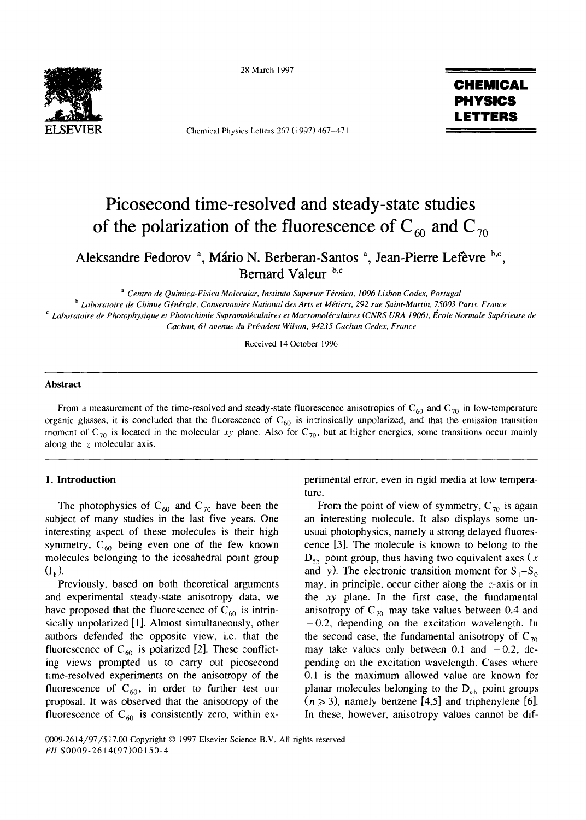

28 March 1997

Chemical Physics Letters 267 (1997) 467-471

# **CHEMICAL PHYSICS LETTERS**

# **Picosecond time-resolved and steady-state studies**  of the polarization of the fluorescence of  $C_{60}$  and  $C_{70}$

Aleksandre Fedorov<sup>a</sup>, Mário N. Berberan-Santos<sup>a</sup>, Jean-Pierre Lefèvre b.c, **Bernard Valeur b,c** 

<sup>a</sup> Centro de Química-Física Molecular, Instituto Superior Técnico, 1096 Lisbon Codex, Portugal <sup>b</sup> Laboratoire de Chimie Générale, Conservatoire National des Arts et Métiers, 292 rue Saint-Martin, 75003 Paris, France <sup>c</sup> Laboratoire de Photophysique et Photochimie Supramoléculaires et Macromoléculaires (CNRS URA 1906), École Normale Supérieure de *Cachan, 61 avenue du President Wilson, 94235 Cachan Cedex, France* 

Received 14October 1996

#### **Abstract**

From a measurement of the time-resolved and steady-state fluorescence anisotropies of  $C_{60}$  and  $C_{70}$  in low-temperature organic glasses, it is concluded that the fluorescence of  $C_{60}$  is intrinsically unpolarized, and that the emission transition moment of  $C_{70}$  is located in the molecular *xy* plane. Also for  $C_{70}$ , but at higher energies, some transitions occur mainly along the  $z$  molecular axis.

# 1. **Introduction**

The photophysics of  $C_{60}$  and  $C_{70}$  have been the subject of many studies in the last five years. One interesting aspect of these molecules is their high symmetry,  $C_{60}$  being even one of the few known molecules belonging to the icosahedral point group  $(I_h)$ .

Previously, based on both theoretical arguments and experimental steady-state anisotropy data, we have proposed that the fluorescence of  $C_{60}$  is intrinsically unpolarized [1]. Almost simultaneously, other authors defended the opposite view, i.e. that the fluorescence of  $C_{60}$  is polarized [2]. These conflicting views prompted us to carry out picosecond time-resolved experiments on the anisotropy of the fluorescence of  $C_{60}$ , in order to further test our proposal. It was observed that the anisotropy of the fluorescence of  $C_{60}$  is consistently zero, within experimental error, even in rigid media at low temperature.

From the point of view of symmetry,  $C_{70}$  is again an interesting molecule. It also displays some unusual photophysics, namely a strong delayed fluorescence [3]. The molecule is known to belong to the  $D_{\rm Sh}$  point group, thus having two equivalent axes (x and y). The electronic transition moment for  $S_1-S_0$ may, in principle, occur either along the z-axis or in the xy plane. In the first case, the fundamental anisotropy of  $C_{70}$  may take values between 0.4 and  $-0.2$ , depending on the excitation wavelength. In the second case, the fundamental anisotropy of  $C_{70}$ may take values only between 0.1 and  $-0.2$ , depending on the excitation wavelength. Cases where 0.1 is the maximum allowed value are known for planar molecules belonging to the  $D_{ab}$  point groups  $(n \ge 3)$ , namely benzene [4,5] and triphenylene [6]. In these, however, anisotropy values cannot be dif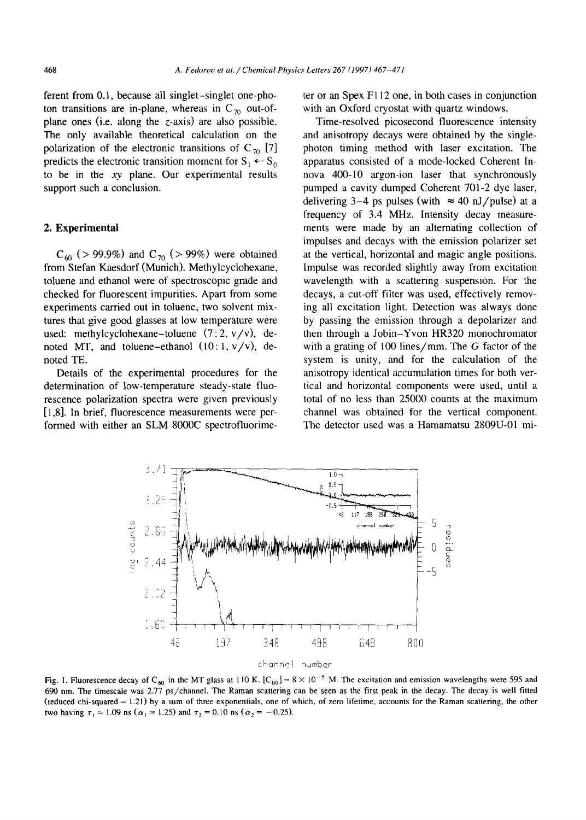ferent from 0.1, because all singlet-singlet one-photon transitions are in-plane, whereas in  $C_{70}$  out-ofplane ones (i.e. along the z-axis) are also possible. The only available theoretical calculation on the polarization of the electronic transitions of  $C_{70}$  [7] predicts the electronic transition moment for  $S_1 \leftarrow S_0$ to be in the xy plane. Our experimental results support such a conclusion.

#### **2. Experimental**

 $C_{60}$  (> 99.9%) and  $C_{70}$  (> 99%) were obtained from Stefan Kaesdorf (Munich). Methylcyclohexane, toluene and ethanol were of spectroscopic grade and checked for fluorescent impurities. Apart from some experiments carried out in toluene, two solvent mixtures that give good glasses at low temperature were used: methylcyclohexane-toluene  $(7:2, v/v)$ , denoted MT, and toluene-ethanol  $(10:1, v/v)$ , denoted TE.

Details of the experimental procedures for the determination of low-temperature steady-state fluorescence polarization spectra were given previously [1,8]. In brief, fluorescence measurements were performed with either an SLM 8000C spectrofluorimeter or an Spex F112 one, in both cases in conjunction with an Oxford cryostat with quartz windows.

Time-resolved picosecond fluorescence intensity and anisotropy decays were obtained by the singlephoton timing method with laser excitation. The apparatus consisted of a mode-locked Coherent Innova 400-10 argon-ion laser that synchronously pumped a cavity dumped Coherent 701-2 dye laser, delivering 3–4 ps pulses (with  $\approx$  40 nJ/pulse) at a frequency of 3.4 MHz. Intensity decay measurements were made by an alternating collection of impulses and decays with the emission polarizer set at the vertical, horizontal and magic angle positions. Impulse was recorded slightly away from excitation wavelength with a scattering suspension. For the decays, a cut-off filter was used, effectively removing all excitation light. Detection was always done by passing the emission through a depolarizer and then through a Jobin-Yvon HR320 monochromator with a grating of 100 lines/mm. The  $G$  factor of the system is unity, and for the calculation of the anisotropy identical accumulation times for both vertical and horizontal components were used, until a total of no less than 25000 counts at the maximum channel was obtained for the vertical component. The detector used was a Hamamatsu 2809U-01 mi-



Fig. 1. Fluorescence decay of C<sub>60</sub> in the MT glass at 110 K. [C<sub>60</sub>] = 8 × 10<sup>-5</sup> M. The excitation and emission wavelengths were 595 and 690 rim. The timescale was 2.77 ps/channel. The Raman scattering can be seen as the first peak in the decay. The decay is well fitted (reduced chi-squared = 1.21) by a sum of three exponentials, one of which, of zero lifetime, accounts for the Raman scattering, the other two having  $\tau_1 = 1.09$  ns ( $\alpha_1 = 1.25$ ) and  $\tau_2 = 0.10$  ns ( $\alpha_2 = -0.25$ ).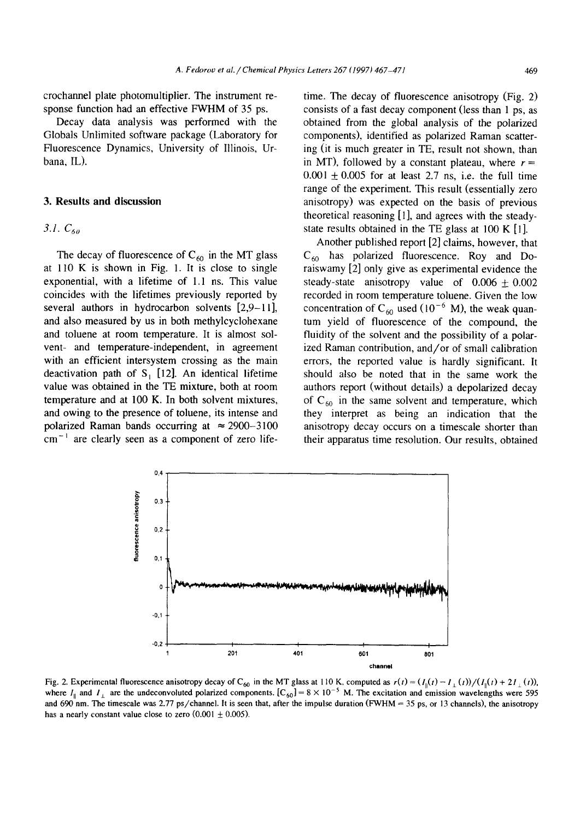crochannel plate photomultiplier. The instrument response function had an effective FWHM of 35 ps.

Decay data analysis was performed with the Globals Unlimited software package (Laboratory for Fluorescence Dynamics, University of Illinois, Urbana, IL).

#### **3. Results and discussion**

# *3.1. C6o*

The decay of fluorescence of  $C_{60}$  in the MT glass at 110 K is shown in Fig. 1. It is close to single exponential, with a lifetime of 1.1 ns. This value coincides with the lifetimes previously reported by several authors in hydrocarbon solvents [2,9-11], and also measured by us in both methylcyclohexane and toluene at room temperature. It is almost solvent- and temperature-independent, in agreement with an efficient intersystem crossing as the main deactivation path of  $S_1$  [12]. An identical lifetime value was obtained in the TE mixture, both at room temperature and at 100 K. In both solvent mixtures, and owing to the presence of toluene, its intense and polarized Raman bands occurring at  $\approx 2900-3100$  $cm^{-1}$  are clearly seen as a component of zero lifetime. The decay of fluorescence anisotropy (Fig. 2) consists of a fast decay component (less than 1 ps, as obtained from the global analysis of the polarized components), identified as polarized Raman scattering (it is much greater in TE, result not shown, than in MT), followed by a constant plateau, where  $r =$  $0.001 \pm 0.005$  for at least 2.7 ns, i.e. the full time range of the experiment. This result (essentially zero anisotropy) was expected on the basis of previous theoretical reasoning [1], and agrees with the steadystate results obtained in the TE glass at 100 K [1].

Another published report [2] claims, however, that  $C_{60}$  has polarized fluorescence. Roy and Doraiswamy [2] only give as experimental evidence the steady-state anisotropy value of  $0.006 \pm 0.002$ recorded in room temperature toluene. Given the low concentration of C<sub>60</sub> used (10<sup>-6</sup> M), the weak quantum yield of fluorescence of the compound, the fluidity of the solvent and the possibility of a polarized Raman contribution, and/or of small calibration errors, the reported value is hardly significant. It should also be noted that in the same work the authors report (without details) a depolarized decay of  $C_{60}$  in the same solvent and temperature, which they interpret as being an indication that the anisotropy decay occurs on a timescale shorter than their apparatus time resolution. Our results, obtained

Fig. 2. Experimental fluorescence anisotropy decay of C<sub>60</sub> in the MT glass at 110 K, computed as  $r(t) = (I_0(t) - I_+(t))/(I_0(t) + 2I_+(t))$ , where  $I_{\parallel}$  and  $I_{\perp}$  are the undeconvoluted polarized components. [C<sub>60</sub>] = 8 × 10<sup>-5</sup> M. The excitation and emission wavelengths were 595 and 690 nm. The timescale was 2.77 ps/channel. It is seen that, after the impulse duration (FWHM =  $35$  ps, or 13 channels), the anisotropy has a nearly constant value close to zero  $(0.001 \pm 0.005)$ .

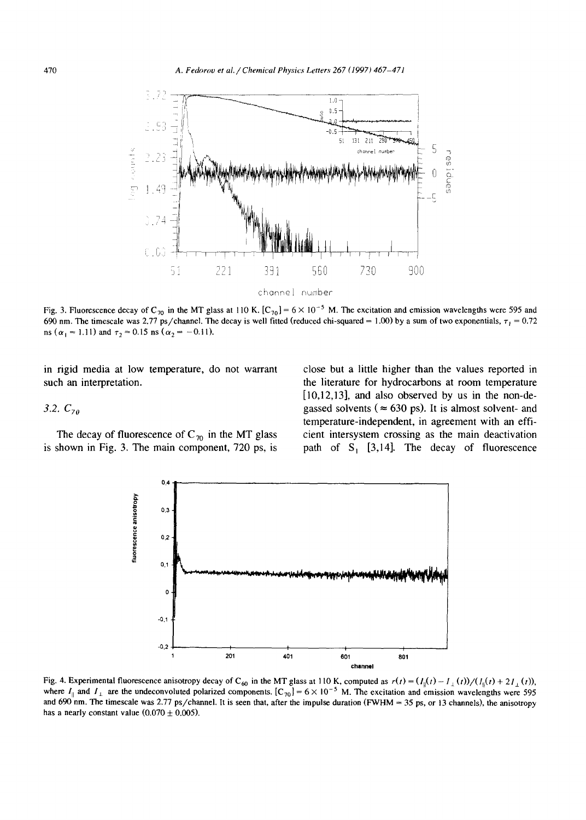

Fig. 3. Fluorescence decay of C<sub>70</sub> in the MT glass at 110 K. [C<sub>70</sub>] =  $6 \times 10^{-5}$  M. The excitation and emission wavelengths were 595 and 690 nm. The timescale was 2.77 ps/channel. The decay is well fitted (reduced chi-squared = 1.00) by a sum of two exponentials,  $\tau_1 = 0.72$ ns ( $\alpha_1 = 1.11$ ) and  $\tau_2 = 0.15$  ns ( $\alpha_2 = -0.11$ ).

in rigid media at low temperature, do not warrant such an interpretation.

#### *3.2. C7o*

The decay of fluorescence of  $C_{70}$  in the MT glass is shown in Fig. 3. The main component, 720 ps, is

close but a little higher than the values reported in the literature for hydrocarbons at room temperature [10,12,13], and also observed by us in the non-degassed solvents ( $\approx 630$  ps). It is almost solvent- and temperature-independent, in agreement with an efficient intersystem crossing as the main deactivation path of  $S_1$  [3,14]. The decay of fluorescence



Fig. 4. Experimental fluorescence anisotropy decay of C<sub>60</sub> in the MT glass at 110 K, computed as  $r(t) = (I_{\parallel}(t) - I_{\perp}(t))/(I_{\parallel}(t) + 2I_{\perp}(t))$ , where  $I_{\parallel}$  and  $I_{\perp}$  are the undeconvoluted polarized components. [C<sub>70</sub>] = 6 × 10<sup>-5</sup> M. The excitation and emission wavelengths were 595 and 690 nm. The timescale was 2.77 ps/channel. It is seen that, after the impulse duration (FWHM = 35 ps, or 13 channels), the anisotropy has a nearly constant value  $(0.070 \pm 0.005)$ .